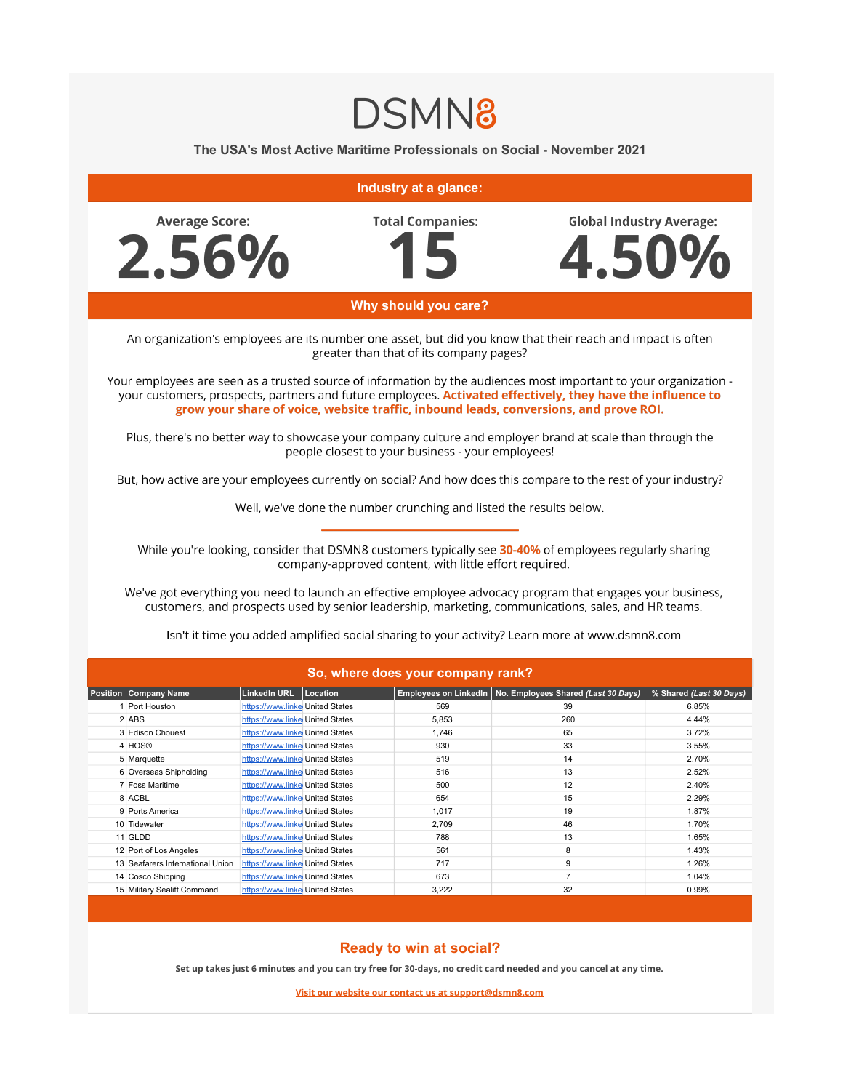## **DSMN8**

## **The USA's Most Active Maritime Professionals on Social - November 2021**



## **Ready to win at social?**

**Set up takes just 6 minutes and you can try free for 30-days, no credit card needed and you cancel at any time.**

**Visit our website our contact us at support@dsmn8.com**